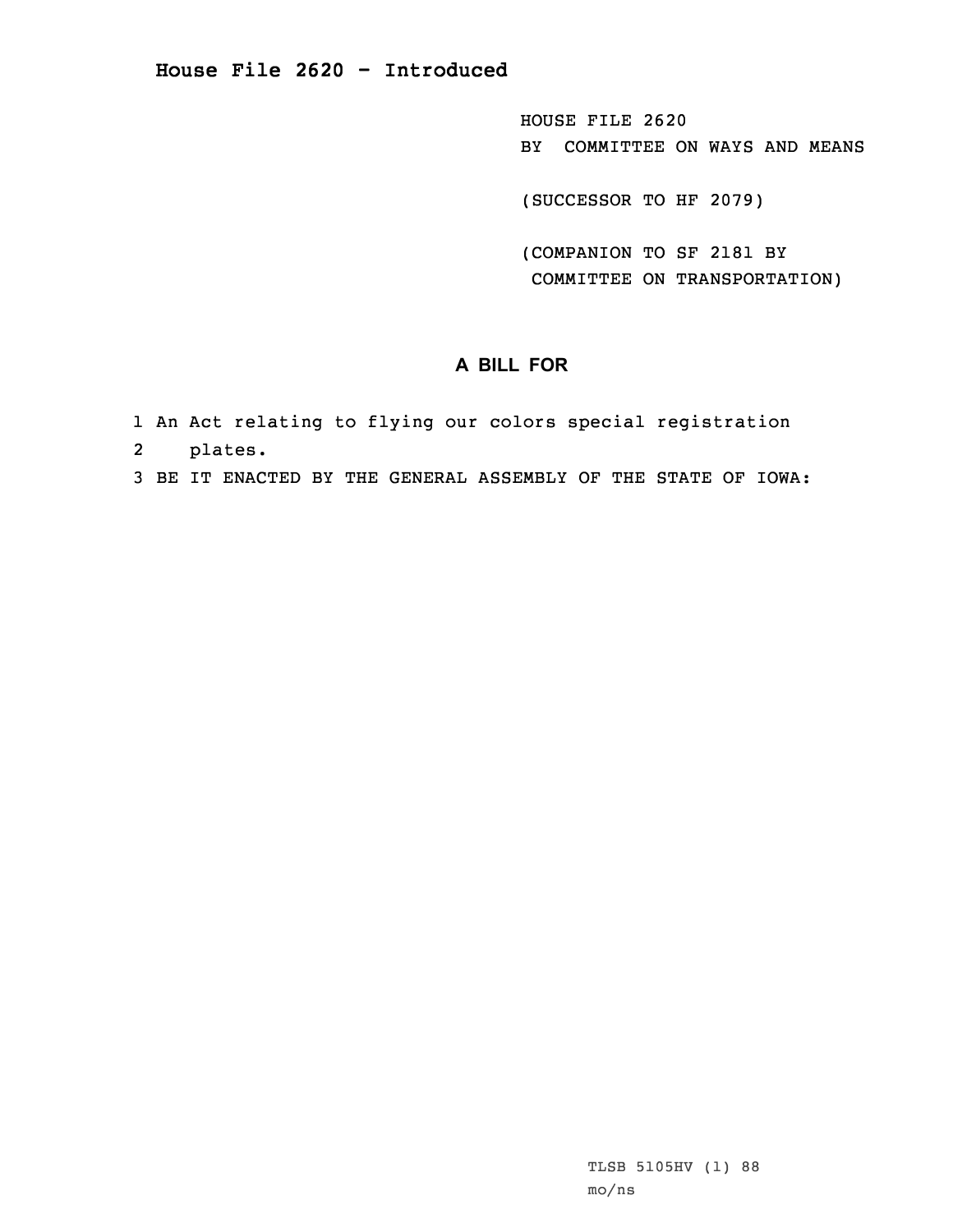HOUSE FILE 2620 BY COMMITTEE ON WAYS AND MEANS

(SUCCESSOR TO HF 2079)

(COMPANION TO SF 2181 BY COMMITTEE ON TRANSPORTATION)

## **A BILL FOR**

- 1 An Act relating to flying our colors special registration
- 2 plates.
- 3 BE IT ENACTED BY THE GENERAL ASSEMBLY OF THE STATE OF IOWA: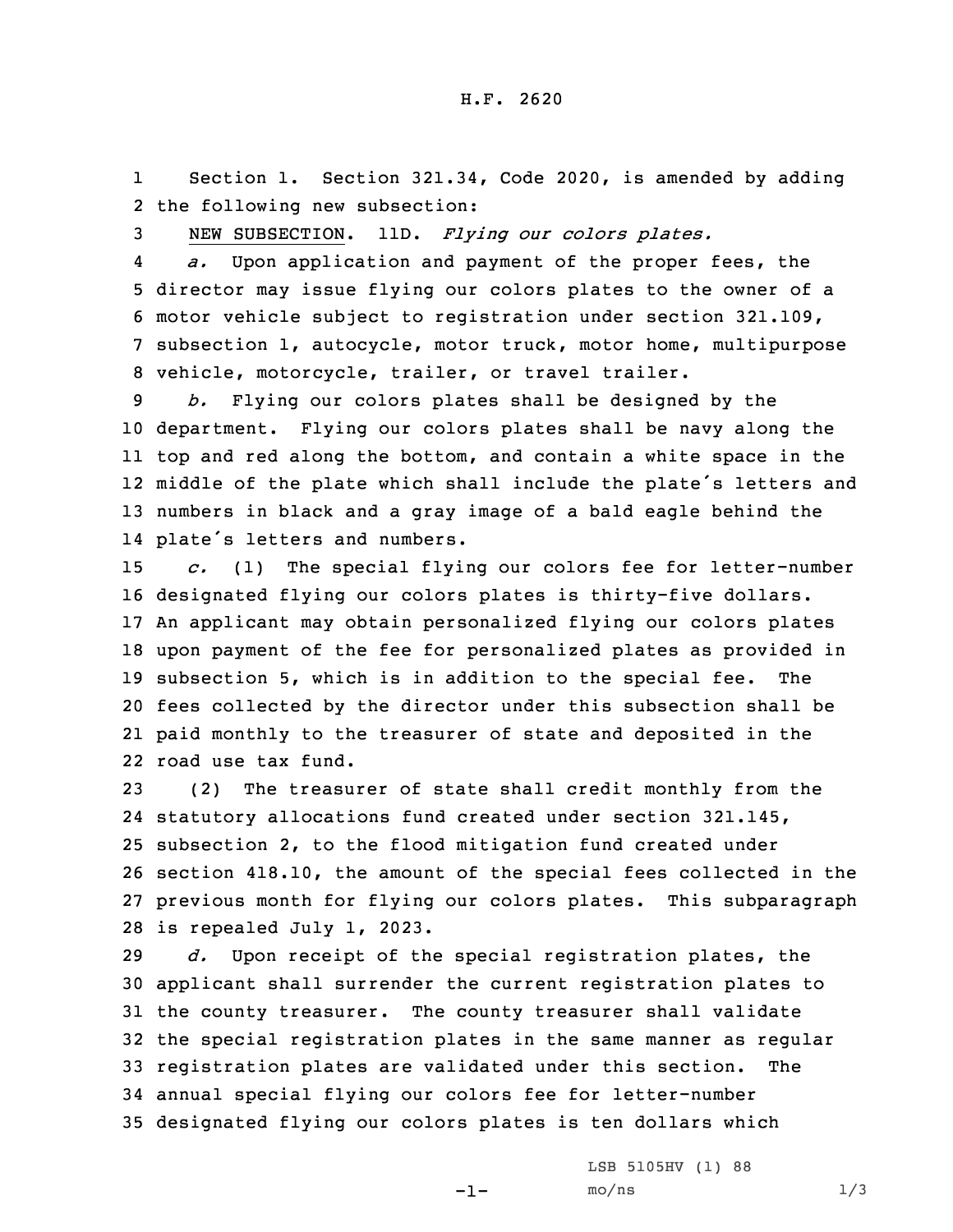1 Section 1. Section 321.34, Code 2020, is amended by adding 2 the following new subsection:

3 NEW SUBSECTION. 11D. *Flying our colors plates.*

4 *a.* Upon application and payment of the proper fees, the director may issue flying our colors plates to the owner of <sup>a</sup> motor vehicle subject to registration under section 321.109, subsection 1, autocycle, motor truck, motor home, multipurpose vehicle, motorcycle, trailer, or travel trailer.

 *b.* Flying our colors plates shall be designed by the department. Flying our colors plates shall be navy along the top and red along the bottom, and contain <sup>a</sup> white space in the middle of the plate which shall include the plate's letters and numbers in black and <sup>a</sup> gray image of <sup>a</sup> bald eagle behind the plate's letters and numbers.

 *c.* (1) The special flying our colors fee for letter-number designated flying our colors plates is thirty-five dollars. An applicant may obtain personalized flying our colors plates upon payment of the fee for personalized plates as provided in subsection 5, which is in addition to the special fee. The fees collected by the director under this subsection shall be paid monthly to the treasurer of state and deposited in the road use tax fund.

 (2) The treasurer of state shall credit monthly from the statutory allocations fund created under section 321.145, subsection 2, to the flood mitigation fund created under section 418.10, the amount of the special fees collected in the previous month for flying our colors plates. This subparagraph is repealed July 1, 2023.

 *d.* Upon receipt of the special registration plates, the applicant shall surrender the current registration plates to the county treasurer. The county treasurer shall validate the special registration plates in the same manner as regular registration plates are validated under this section. The annual special flying our colors fee for letter-number designated flying our colors plates is ten dollars which

-1-

LSB 5105HV (1) 88  $mo/ns$  1/3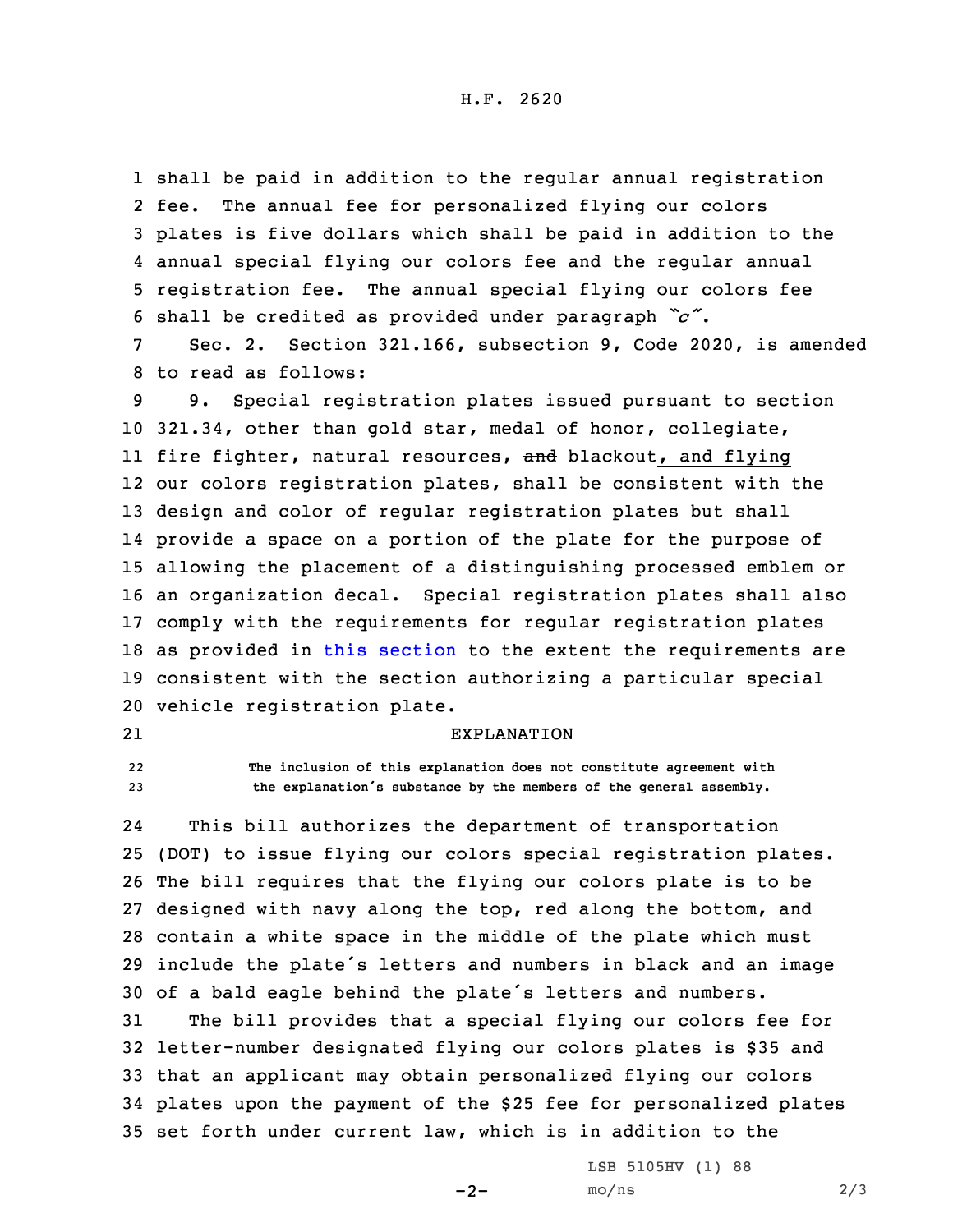shall be paid in addition to the regular annual registration 2 fee. The annual fee for personalized flying our colors plates is five dollars which shall be paid in addition to the annual special flying our colors fee and the regular annual registration fee. The annual special flying our colors fee shall be credited as provided under paragraph *"c"*.

7 Sec. 2. Section 321.166, subsection 9, Code 2020, is amended 8 to read as follows:

 9. Special registration plates issued pursuant to section 321.34, other than gold star, medal of honor, collegiate, ll fire fighter, natural resources, <del>and</del> blackout, and flying our colors registration plates, shall be consistent with the design and color of regular registration plates but shall provide <sup>a</sup> space on <sup>a</sup> portion of the plate for the purpose of allowing the placement of <sup>a</sup> distinguishing processed emblem or an organization decal. Special registration plates shall also comply with the requirements for regular registration plates as provided in this [section](https://www.legis.iowa.gov/docs/code/2020/321.166.pdf) to the extent the requirements are consistent with the section authorizing <sup>a</sup> particular special vehicle registration plate.

21

EXPLANATION

22 **The inclusion of this explanation does not constitute agreement with** <sup>23</sup> **the explanation's substance by the members of the general assembly.**

24 This bill authorizes the department of transportation (DOT) to issue flying our colors special registration plates. The bill requires that the flying our colors plate is to be designed with navy along the top, red along the bottom, and contain <sup>a</sup> white space in the middle of the plate which must include the plate's letters and numbers in black and an image of <sup>a</sup> bald eagle behind the plate's letters and numbers. The bill provides that <sup>a</sup> special flying our colors fee for letter-number designated flying our colors plates is \$35 and that an applicant may obtain personalized flying our colors plates upon the payment of the \$25 fee for personalized plates set forth under current law, which is in addition to the

 $-2-$ 

LSB 5105HV (1) 88  $mo/ns$  2/3